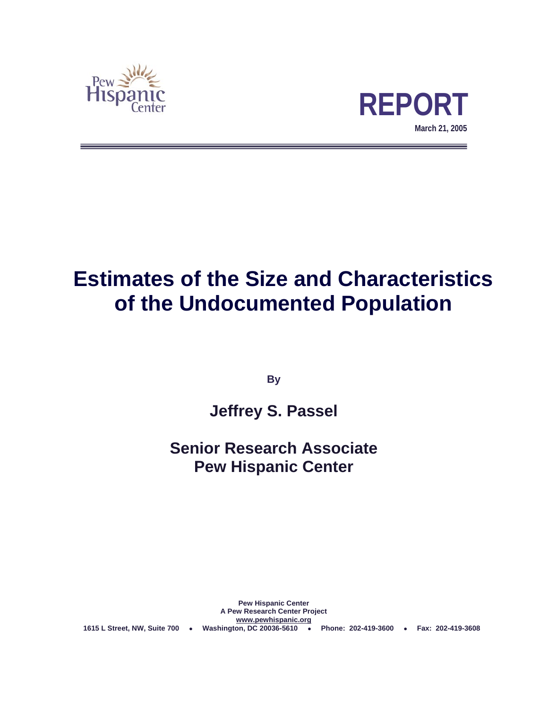



# **Estimates of the Size and Characteristics of the Undocumented Population**

**By** 

# **Jeffrey S. Passel**

# **Senior Research Associate Pew Hispanic Center**

**Pew Hispanic Center A Pew Research Center Project www.pewhispanic.org 1615 L Street, NW, Suite 700** • **Washington, DC 20036-5610** • **Phone: 202-419-3600** • **Fax: 202-419-3608**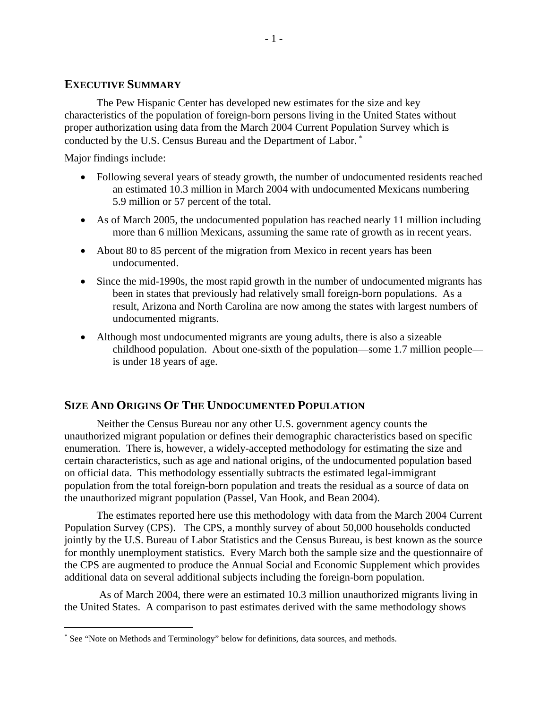### **EXECUTIVE SUMMARY**

 The Pew Hispanic Center has developed new estimates for the size and key characteristics of the population of foreign-born persons living in the United States without proper authorization using data from the March 2004 Current Population Survey which is conducted by the U.S. Census Bureau and the Department of Labor.<sup>\*</sup>

Major findings include:

 $\overline{a}$ 

- Following several years of steady growth, the number of undocumented residents reached an estimated 10.3 million in March 2004 with undocumented Mexicans numbering 5.9 million or 57 percent of the total.
- As of March 2005, the undocumented population has reached nearly 11 million including more than 6 million Mexicans, assuming the same rate of growth as in recent years.
- About 80 to 85 percent of the migration from Mexico in recent years has been undocumented.
- Since the mid-1990s, the most rapid growth in the number of undocumented migrants has been in states that previously had relatively small foreign-born populations. As a result, Arizona and North Carolina are now among the states with largest numbers of undocumented migrants.
- Although most undocumented migrants are young adults, there is also a sizeable childhood population. About one-sixth of the population—some 1.7 million people is under 18 years of age.

### **SIZE AND ORIGINS OF THE UNDOCUMENTED POPULATION**

 Neither the Census Bureau nor any other U.S. government agency counts the unauthorized migrant population or defines their demographic characteristics based on specific enumeration. There is, however, a widely-accepted methodology for estimating the size and certain characteristics, such as age and national origins, of the undocumented population based on official data. This methodology essentially subtracts the estimated legal-immigrant population from the total foreign-born population and treats the residual as a source of data on the unauthorized migrant population (Passel, Van Hook, and Bean 2004).

 The estimates reported here use this methodology with data from the March 2004 Current Population Survey (CPS). The CPS, a monthly survey of about 50,000 households conducted jointly by the U.S. Bureau of Labor Statistics and the Census Bureau, is best known as the source for monthly unemployment statistics. Every March both the sample size and the questionnaire of the CPS are augmented to produce the Annual Social and Economic Supplement which provides additional data on several additional subjects including the foreign-born population.

 As of March 2004, there were an estimated 10.3 million unauthorized migrants living in the United States. A comparison to past estimates derived with the same methodology shows

<sup>∗</sup> See "Note on Methods and Terminology" below for definitions, data sources, and methods.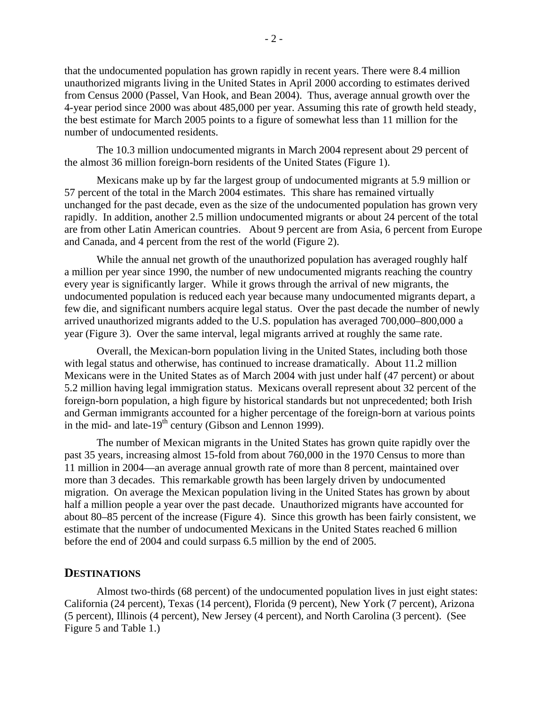that the undocumented population has grown rapidly in recent years. There were 8.4 million unauthorized migrants living in the United States in April 2000 according to estimates derived from Census 2000 (Passel, Van Hook, and Bean 2004). Thus, average annual growth over the 4-year period since 2000 was about 485,000 per year. Assuming this rate of growth held steady, the best estimate for March 2005 points to a figure of somewhat less than 11 million for the number of undocumented residents.

 The 10.3 million undocumented migrants in March 2004 represent about 29 percent of the almost 36 million foreign-born residents of the United States (Figure 1).

Mexicans make up by far the largest group of undocumented migrants at 5.9 million or 57 percent of the total in the March 2004 estimates. This share has remained virtually unchanged for the past decade, even as the size of the undocumented population has grown very rapidly. In addition, another 2.5 million undocumented migrants or about 24 percent of the total are from other Latin American countries. About 9 percent are from Asia, 6 percent from Europe and Canada, and 4 percent from the rest of the world (Figure 2).

While the annual net growth of the unauthorized population has averaged roughly half a million per year since 1990, the number of new undocumented migrants reaching the country every year is significantly larger. While it grows through the arrival of new migrants, the undocumented population is reduced each year because many undocumented migrants depart, a few die, and significant numbers acquire legal status. Over the past decade the number of newly arrived unauthorized migrants added to the U.S. population has averaged 700,000–800,000 a year (Figure 3). Over the same interval, legal migrants arrived at roughly the same rate.

Overall, the Mexican-born population living in the United States, including both those with legal status and otherwise, has continued to increase dramatically. About 11.2 million Mexicans were in the United States as of March 2004 with just under half (47 percent) or about 5.2 million having legal immigration status. Mexicans overall represent about 32 percent of the foreign-born population, a high figure by historical standards but not unprecedented; both Irish and German immigrants accounted for a higher percentage of the foreign-born at various points in the mid- and late-19<sup>th</sup> century (Gibson and Lennon 1999).

The number of Mexican migrants in the United States has grown quite rapidly over the past 35 years, increasing almost 15-fold from about 760,000 in the 1970 Census to more than 11 million in 2004—an average annual growth rate of more than 8 percent, maintained over more than 3 decades. This remarkable growth has been largely driven by undocumented migration. On average the Mexican population living in the United States has grown by about half a million people a year over the past decade. Unauthorized migrants have accounted for about 80–85 percent of the increase (Figure 4). Since this growth has been fairly consistent, we estimate that the number of undocumented Mexicans in the United States reached 6 million before the end of 2004 and could surpass 6.5 million by the end of 2005.

#### **DESTINATIONS**

Almost two-thirds (68 percent) of the undocumented population lives in just eight states: California (24 percent), Texas (14 percent), Florida (9 percent), New York (7 percent), Arizona (5 percent), Illinois (4 percent), New Jersey (4 percent), and North Carolina (3 percent). (See Figure 5 and Table 1.)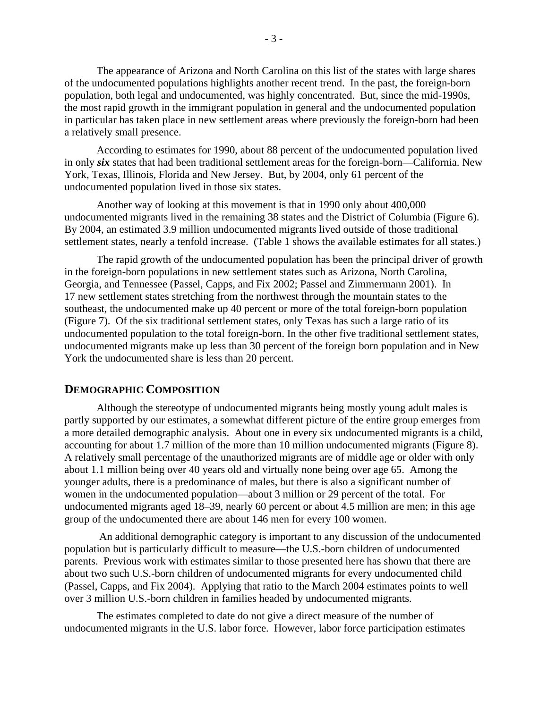The appearance of Arizona and North Carolina on this list of the states with large shares of the undocumented populations highlights another recent trend. In the past, the foreign-born population, both legal and undocumented, was highly concentrated. But, since the mid-1990s, the most rapid growth in the immigrant population in general and the undocumented population in particular has taken place in new settlement areas where previously the foreign-born had been a relatively small presence.

According to estimates for 1990, about 88 percent of the undocumented population lived in only *six* states that had been traditional settlement areas for the foreign-born—California. New York, Texas, Illinois, Florida and New Jersey. But, by 2004, only 61 percent of the undocumented population lived in those six states.

Another way of looking at this movement is that in 1990 only about 400,000 undocumented migrants lived in the remaining 38 states and the District of Columbia (Figure 6). By 2004, an estimated 3.9 million undocumented migrants lived outside of those traditional settlement states, nearly a tenfold increase. (Table 1 shows the available estimates for all states.)

The rapid growth of the undocumented population has been the principal driver of growth in the foreign-born populations in new settlement states such as Arizona, North Carolina, Georgia, and Tennessee (Passel, Capps, and Fix 2002; Passel and Zimmermann 2001). In 17 new settlement states stretching from the northwest through the mountain states to the southeast, the undocumented make up 40 percent or more of the total foreign-born population (Figure 7). Of the six traditional settlement states, only Texas has such a large ratio of its undocumented population to the total foreign-born. In the other five traditional settlement states, undocumented migrants make up less than 30 percent of the foreign born population and in New York the undocumented share is less than 20 percent.

#### **DEMOGRAPHIC COMPOSITION**

Although the stereotype of undocumented migrants being mostly young adult males is partly supported by our estimates, a somewhat different picture of the entire group emerges from a more detailed demographic analysis. About one in every six undocumented migrants is a child, accounting for about 1.7 million of the more than 10 million undocumented migrants (Figure 8). A relatively small percentage of the unauthorized migrants are of middle age or older with only about 1.1 million being over 40 years old and virtually none being over age 65. Among the younger adults, there is a predominance of males, but there is also a significant number of women in the undocumented population—about 3 million or 29 percent of the total. For undocumented migrants aged 18–39, nearly 60 percent or about 4.5 million are men; in this age group of the undocumented there are about 146 men for every 100 women.

 An additional demographic category is important to any discussion of the undocumented population but is particularly difficult to measure—the U.S.-born children of undocumented parents. Previous work with estimates similar to those presented here has shown that there are about two such U.S.-born children of undocumented migrants for every undocumented child (Passel, Capps, and Fix 2004). Applying that ratio to the March 2004 estimates points to well over 3 million U.S.-born children in families headed by undocumented migrants.

The estimates completed to date do not give a direct measure of the number of undocumented migrants in the U.S. labor force. However, labor force participation estimates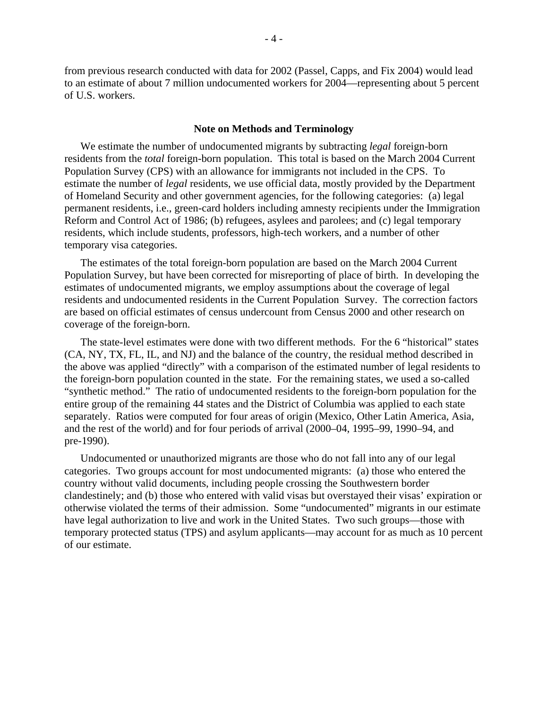from previous research conducted with data for 2002 (Passel, Capps, and Fix 2004) would lead to an estimate of about 7 million undocumented workers for 2004—representing about 5 percent of U.S. workers.

#### **Note on Methods and Terminology**

We estimate the number of undocumented migrants by subtracting *legal* foreign-born residents from the *total* foreign-born population. This total is based on the March 2004 Current Population Survey (CPS) with an allowance for immigrants not included in the CPS. To estimate the number of *legal* residents, we use official data, mostly provided by the Department of Homeland Security and other government agencies, for the following categories: (a) legal permanent residents, i.e., green-card holders including amnesty recipients under the Immigration Reform and Control Act of 1986; (b) refugees, asylees and parolees; and (c) legal temporary residents, which include students, professors, high-tech workers, and a number of other temporary visa categories.

The estimates of the total foreign-born population are based on the March 2004 Current Population Survey, but have been corrected for misreporting of place of birth. In developing the estimates of undocumented migrants, we employ assumptions about the coverage of legal residents and undocumented residents in the Current Population Survey. The correction factors are based on official estimates of census undercount from Census 2000 and other research on coverage of the foreign-born.

The state-level estimates were done with two different methods. For the 6 "historical" states (CA, NY, TX, FL, IL, and NJ) and the balance of the country, the residual method described in the above was applied "directly" with a comparison of the estimated number of legal residents to the foreign-born population counted in the state. For the remaining states, we used a so-called "synthetic method." The ratio of undocumented residents to the foreign-born population for the entire group of the remaining 44 states and the District of Columbia was applied to each state separately. Ratios were computed for four areas of origin (Mexico, Other Latin America, Asia, and the rest of the world) and for four periods of arrival (2000–04, 1995–99, 1990–94, and pre-1990).

Undocumented or unauthorized migrants are those who do not fall into any of our legal categories. Two groups account for most undocumented migrants: (a) those who entered the country without valid documents, including people crossing the Southwestern border clandestinely; and (b) those who entered with valid visas but overstayed their visas' expiration or otherwise violated the terms of their admission. Some "undocumented" migrants in our estimate have legal authorization to live and work in the United States. Two such groups—those with temporary protected status (TPS) and asylum applicants—may account for as much as 10 percent of our estimate.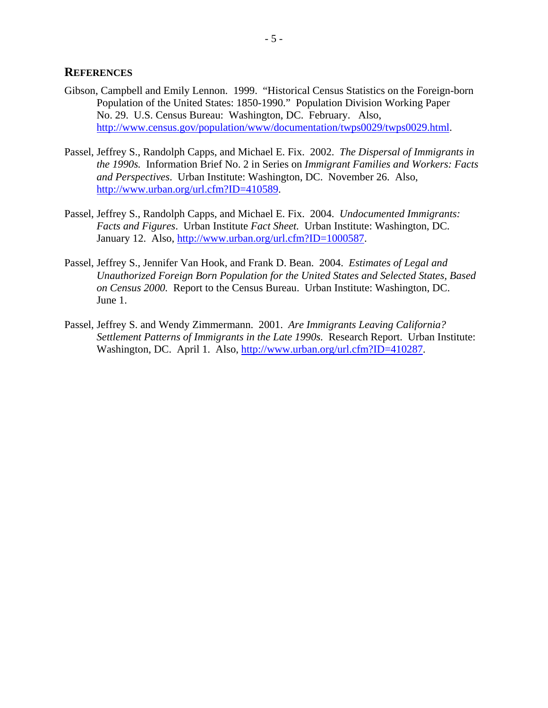### **REFERENCES**

- Gibson, Campbell and Emily Lennon. 1999. "Historical Census Statistics on the Foreign-born Population of the United States: 1850-1990." Population Division Working Paper No. 29. U.S. Census Bureau: Washington, DC. February. Also, http://www.census.gov/population/www/documentation/twps0029/twps0029.html.
- Passel, Jeffrey S., Randolph Capps, and Michael E. Fix. 2002. *The Dispersal of Immigrants in the 1990s.* Information Brief No. 2 in Series on *Immigrant Families and Workers: Facts and Perspectives*. Urban Institute: Washington, DC. November 26. Also, http://www.urban.org/url.cfm?ID=410589.
- Passel, Jeffrey S., Randolph Capps, and Michael E. Fix. 2004. *Undocumented Immigrants: Facts and Figures*. Urban Institute *Fact Sheet.* Urban Institute: Washington, DC. January 12. Also, http://www.urban.org/url.cfm?ID=1000587.
- Passel, Jeffrey S., Jennifer Van Hook, and Frank D. Bean. 2004. *Estimates of Legal and Unauthorized Foreign Born Population for the United States and Selected States, Based on Census 2000.* Report to the Census Bureau. Urban Institute: Washington, DC. June 1.
- Passel, Jeffrey S. and Wendy Zimmermann. 2001. *Are Immigrants Leaving California? Settlement Patterns of Immigrants in the Late 1990s.* Research Report. Urban Institute: Washington, DC. April 1. Also, http://www.urban.org/url.cfm?ID=410287.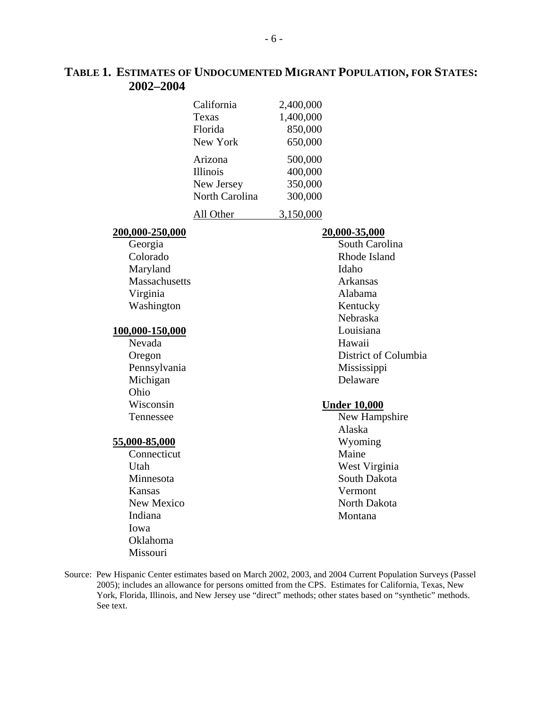### **TABLE 1. ESTIMATES OF UNDOCUMENTED MIGRANT POPULATION, FOR STATES: 2002–2004**

| California      | 2,400,000 |
|-----------------|-----------|
| Texas           | 1,400,000 |
| Florida         | 850,000   |
| New York        | 650,000   |
| Arizona         | 500,000   |
| <b>Illinois</b> | 400,000   |
| New Jersey      | 350,000   |
| North Carolina  | 300,000   |
|                 |           |

All Other 3,150,000

#### **200,000-250,000**

 Georgia Colorado Maryland **Massachusetts**  Virginia Washington

#### **100,000-150,000**

 Nevada Oregon Pennsylvania Michigan Ohio Wisconsin Tennessee

#### **55,000-85,000**

 Connecticut Utah Minnesota Kansas New Mexico Indiana Iowa Oklahoma Missouri

#### **20,000-35,000**

 South Carolina Rhode Island Idaho Arkansas Alabama Kentucky Nebraska Louisiana Hawaii District of Columbia Mississippi Delaware

#### **Under 10,000**

 New Hampshire Alaska Wyoming Maine West Virginia South Dakota Vermont North Dakota Montana

Source: Pew Hispanic Center estimates based on March 2002, 2003, and 2004 Current Population Surveys (Passel 2005); includes an allowance for persons omitted from the CPS. Estimates for California, Texas, New York, Florida, Illinois, and New Jersey use "direct" methods; other states based on "synthetic" methods. See text.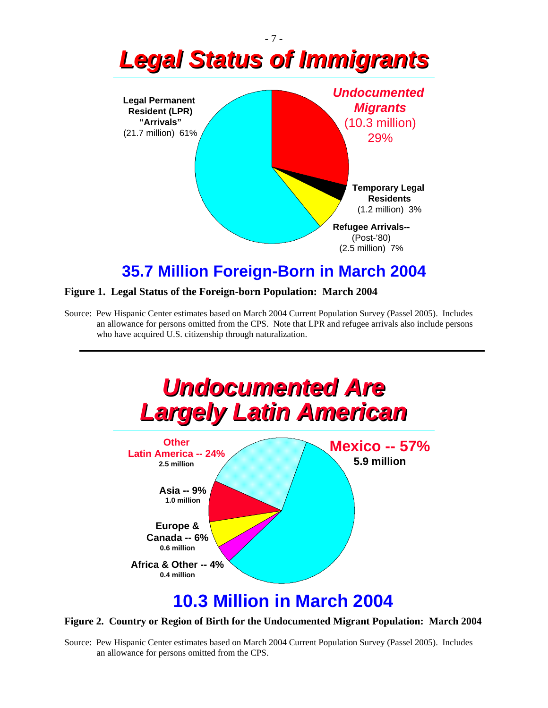

## **35.7 Million Foreign-Born in March 2004**

#### **Figure 1. Legal Status of the Foreign-born Population: March 2004**

Source: Pew Hispanic Center estimates based on March 2004 Current Population Survey (Passel 2005). Includes an allowance for persons omitted from the CPS. Note that LPR and refugee arrivals also include persons who have acquired U.S. citizenship through naturalization.



#### **Figure 2. Country or Region of Birth for the Undocumented Migrant Population: March 2004**

Source: Pew Hispanic Center estimates based on March 2004 Current Population Survey (Passel 2005). Includes an allowance for persons omitted from the CPS.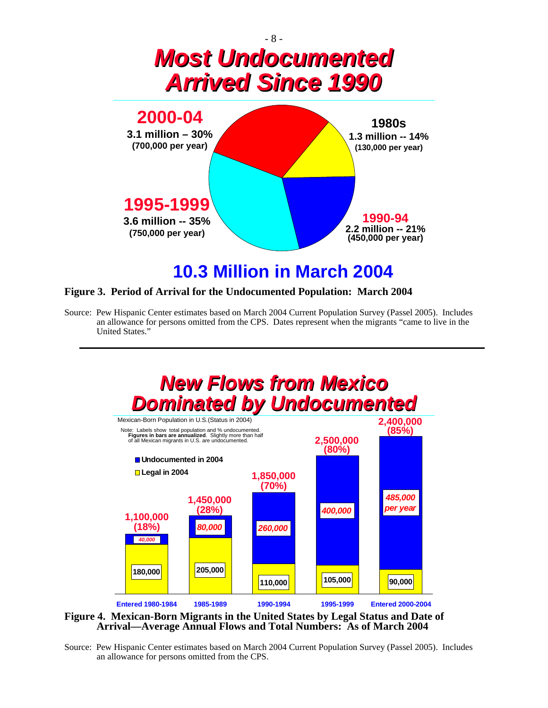

# **10.3 Million in March 2004**

#### **Figure 3. Period of Arrival for the Undocumented Population: March 2004**

Source: Pew Hispanic Center estimates based on March 2004 Current Population Survey (Passel 2005). Includes an allowance for persons omitted from the CPS. Dates represent when the migrants "came to live in the United States."



**Figure 4. Mexican-Born Migrants in the United States by Legal Status and Date of Arrival—Average Annual Flows and Total Numbers: As of March 2004** 

Source: Pew Hispanic Center estimates based on March 2004 Current Population Survey (Passel 2005). Includes an allowance for persons omitted from the CPS.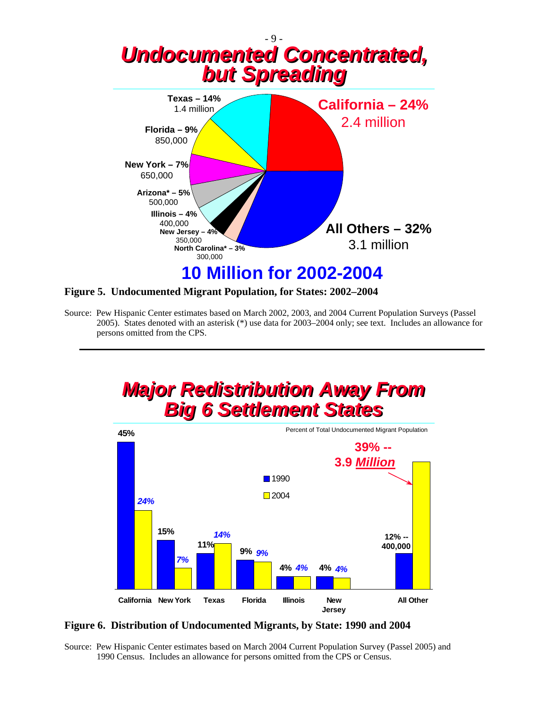



Source: Pew Hispanic Center estimates based on March 2002, 2003, and 2004 Current Population Surveys (Passel 2005). States denoted with an asterisk (\*) use data for 2003–2004 only; see text. Includes an allowance for persons omitted from the CPS.



**Figure 6. Distribution of Undocumented Migrants, by State: 1990 and 2004** 

Source: Pew Hispanic Center estimates based on March 2004 Current Population Survey (Passel 2005) and 1990 Census. Includes an allowance for persons omitted from the CPS or Census.